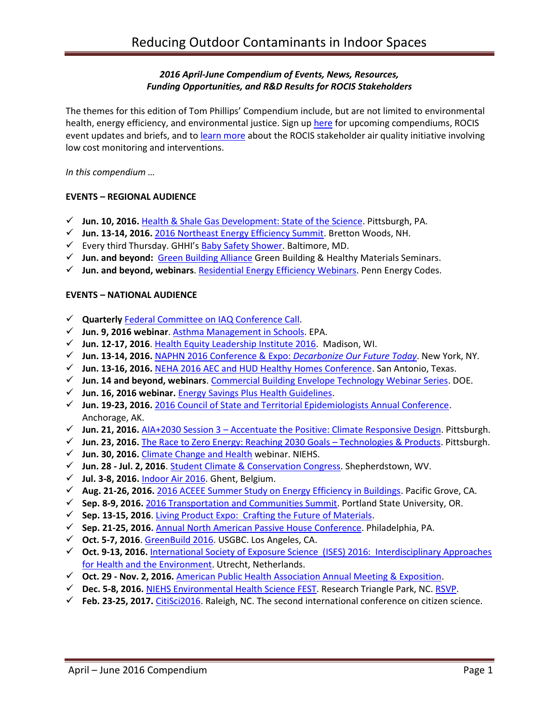## *2016 April-June Compendium of Events, News, Resources, Funding Opportunities, and R&D Results for ROCIS Stakeholders*

The themes for this edition of Tom Phillips' Compendium include, but are not limited to environmental health, energy efficiency, and environmental justice. Sign up [here](http://www.rocis.org/rocis-sign) for upcoming compendiums, ROCIS event updates and briefs, and t[o learn more](http://rocis.org/rocis-low-cost-monitoring-project) about the ROCIS stakeholder air quality initiative involving low cost monitoring and interventions.

*In this compendium …* 

### **EVENTS – REGIONAL AUDIENCE**

- **Jun. 10, 2016.** [Health & Shale Gas Development: State of the Science.](http://www.environmentalhealthproject.org/wpforms/) Pittsburgh, PA.
- **Jun. 13-14, 2016.** [2016 Northeast Energy Efficiency Summit.](http://www.neep.org/events/2016-summit) Bretton Woods, NH.
- Every third Thursday. GHHI's [Baby Safety Shower.](http://www.greenandhealthyhomes.org/latest-events) Baltimore, MD.
- **Jun. and beyond:** [Green Building Alliance](https://www.go-gba.org/) Green Building & Healthy Materials Seminars.
- **Jun. and beyond, webinars**[. Residential Energy Efficiency Webinars.](http://pennenergycodes.com/) Penn Energy Codes.

#### **EVENTS – NATIONAL AUDIENCE**

- **Quarterly** Federal [Committee on IAQ Conference Call.](https://www.epa.gov/indoor-air-quality-iaq/federal-interagency-committee-indoor-air-quality)
- **Jun. 9, 2016 webinar**[. Asthma Management in Schools.](https://www.epa.gov/iaq-schools/iaq-knowledge-action-professional-training-webinar-series) EPA.
- **Jun. 12-17, 2016**[. Health Equity Leadership Institute 2016.](https://uwheli.com/2016/06/08/heli-2016-starts-next-week-monday-june-13th/) Madison, WI.
- **Jun. 13-14, 2016.** [NAPHN 2016 Conference & Expo:](http://naphnetwork.org/conference/) *Decarbonize Our Future Today*. New York, NY.
- **Jun. 13-16, 2016.** [NEHA 2016 AEC and HUD Healthy Homes Conference.](http://www.neha.org/news-events/aec) San Antonio, Texas.
- **Jun. 14 and beyond, webinars**. [Commercial Building Envelope Technology Webinar Series.](http://energy.gov/eere/buildings/events/commercial-building-envelope-technology-webinar-series-0) DOE.
- **Jun. 16, 2016 webinar.** [Energy Savings Plus Health Guidelines.](http://links.govdelivery.com/track?type=click&enid=ZWFzPTEmbWFpbGluZ2lkPTIwMTYwNTI0LjU5NDAwODYxJm1lc3NhZ2VpZD1NREItUFJELUJVTC0yMDE2MDUyNC41OTQwMDg2MSZkYXRhYmFzZWlkPTEwMDEmc2VyaWFsPTE3MDU5Nzc2JmVtYWlsaWQ9dGpwODM1QHNiY2dsb2JhbC5uZXQmdXNlcmlkPXRqcDgzNUBzYmNnbG9iYWwubmV0JmZsPSZleHRyYT1NdWx0aXZhcmlhdGVJZD0mJiY=&&&104&&&https://www.epa.gov/iaq-schools/iaq-guidelines-school-building-upgrades-energy-savings-plus-health?utm_content=&utm_medium=email&utm_name=&utm_source=govdelivery&utm_term=)
- **Jun. 19-23, 2016.** [2016 Council of State and Territorial Epidemiologists Annual Conference.](http://www.csteconference.org/2016/) Anchorage, AK.
- **Jun. 21, 2016.** AIA+2030 Session 3 [Accentuate the Positive: Climate Responsive Design.](https://www.go-gba.org/events/aia2030-session-3-accentuate-positive-climate-responsive-design/) Pittsburgh.
- **Jun. 23, 2016.** [The Race to Zero Energy: Reaching 2030 Goals](https://www.go-gba.org/events/the-race-to-zero-energy-reaching-2030-goals-session-2-technologies-and-products/)  Technologies & Products. Pittsburgh.
- **Jun. 30, 2016.** [Climate Change and Health](https://nih.webex.com/nih/onstage/g.php?MTID=e4abcfd4dbda1e6bc7ffb0bca5be8930a) webinar. NIEHS.
- **Jun. 28 - Jul. 2, 2016**[. Student Climate & Conservation Congress.](http://www.greenschoolsalliance.org/students/student-climate-conservation-congress-sc3) Shepherdstown, WV.
- **Jul. 3-8, 2016.** [Indoor Air 2016.](http://mms.isiaq.org/Calendar/moreinfo.php?eventid=30972) Ghent, Belgium.
- **Aug. 21-26, 2016.** [2016 ACEEE Summer Study on Energy Efficiency in Buildings.](http://aceee.org/conferences/2016/ssb) Pacific Grove, CA.
- **Sep. 8-9, 2016.** [2016 Transportation and Communities Summit.](http://trec.pdx.edu/summit/speakers) Portland State University, OR.
- **Sep. 13-15, 2016**[. Living Product Expo: Crafting the Future of Materials.](http://www.livingproductexpo.org/about/)
- **Sep. 21-25, 2016.** Annual North American [Passive House Conference.](http://naphc2016.phius.org/) Philadelphia, PA.
- **Oct. 5-7, 2016**[. GreenBuild 2016.](http://greenbuildexpo.com/Attendee/ShowInfo) USGBC. Los Angeles, CA.
- **Oct. 9-13, 2016.** [International Society of Exposure Science \(ISES\) 2016: Interdisciplinary Approaches](http://ises2016.org/)  [for Health and the Environment.](http://ises2016.org/) Utrecht, Netherlands.
- **Oct. 29 - Nov. 2, 2016.** [American Public Health Association Annual Meeting & Exposition.](http://www.apha.org/events-and-meetings/annual)
- **Dec. 5-8, 2016.** [NIEHS Environmental Health Science FEST.](http://tools.niehs.nih.gov/conference/ehs_fest/) Research Triangle Park, NC. [RSVP.](https://www.surveymonkey.com/r/EHSFESTRSVP)
- **Feb. 23-25, 2017.** [CitiSci2016.](http://citizenscienceassociation.org/conference/citizen-science-2017/) Raleigh, NC. The second international conference on citizen science.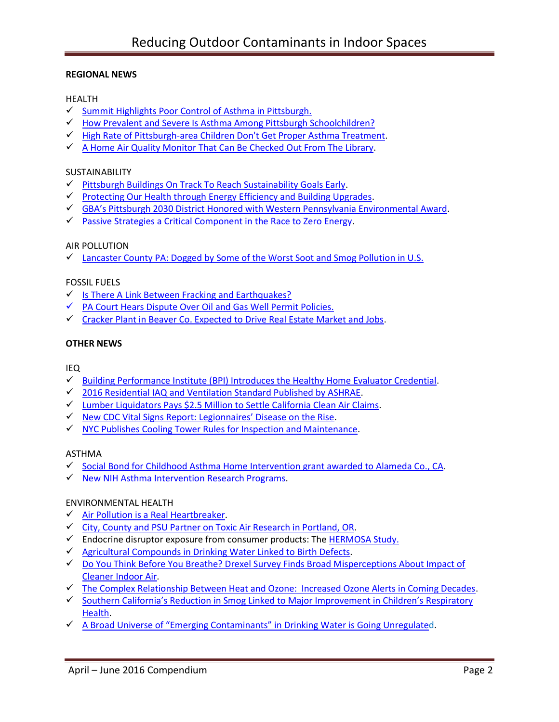## **REGIONAL NEWS**

## HEALTH

- $\checkmark$  [Summit Highlights Poor Control of Asthma in Pittsburgh.](http://www.post-gazette.com/local/city/2014/05/17/Summit-highlights-poor-control-of-asthma-here/stories/201405170114)
- ← How Prevalent and Severe Is Asthma Among Pittsburgh Schoolchildren?
- [High Rate of Pittsburgh-area Children Don't Get Proper Asthma Treatment.](http://www.post-gazette.com/news/health/2016/05/06/Tracking-asthma-in-Pittsburgh-children-finds-high-rates/stories/201605060082?utm_source=newsletter&utm_medium=email&utm_content=editors-picks-news-frontpage&utm_campaign=Headlines-Newsletter)
- $\checkmark$  [A Home Air Quality Monitor That Can Be Checked Out From The Library.](http://www.npr.org/2015/05/24/408786881/a-home-air-quality-monitor-that-can-be-checked-out-from-the-library)

### SUSTAINABILITY

- $\checkmark$  [Pittsburgh Buildings On Track To Reach Sustainability Goals Early.](http://wesa.fm/post/pittsburgh-buildings-track-reach-sustainability-goals-early)
- ← [Protecting Our Health through Energy Efficiency and Building Upgrades.](https://www.energystar.gov/about/newsroom/the-energy-source/201604)
- $\checkmark$  [GBA's Pittsburgh 2030 District Honored with Weste](https://www.go-gba.org/gbas-pittsburgh-2030-district-honored-western-pennsylvania-environmental-award/)rn Pennsylvania Environmental Award.
- $\checkmark$  [Passive Strategies a Critical Component in the Race to Zero Energy.](https://www.go-gba.org/passive-strategies-a-critical-component-in-the-race-to-zero-energy/)

## AIR POLLUTION

 $\checkmark$  [Lancaster County PA: Dogged by Some of the Worst Soot and Smog Pollution in U.S.](http://lancasteronline.com/news/local/lancaster-county-still-dogged-by-some-of-the-worst-soot/article_fbe227b4-0ae4-11e6-8a60-8b48988b7daf.html)

### FOSSIL FUELS

- $\checkmark$  [Is There A Link Between Fracking and Earthquakes?](http://wesa.fm/post/there-link-between-fracking-and-earthquakes)
- $\checkmark$  PA Court Hears Dispute Over Oil and Gas Well Permit Policies.
- $\checkmark$  [Cracker Plant in Beaver Co. Expected to Drive Real Estate Market and Jobs.](http://powersource.post-gazette.com/business/development/2016/06/11/Cracker-plant-expected-to-drive-real-estate-market/stories/201606110026)

## **OTHER NEWS**

### IEQ

- $\checkmark$  [Building Performance Institute \(BPI\) Introduces the Healthy Home Evaluator Credential.](http://www.bpi.org/news_expansion.aspx?selectedID=2303)
- $\checkmark$  [2016 Residential IAQ and Ventilation Standard Published by ASHRAE.](http://iaqlivewire.com/?p=213)
- [Lumber Liquidators Pays \\$2.5 Million to Settle](http://www.arb.ca.gov/newsrel/newsrelease.php?id=799) California Clean Air Claims.
- $\checkmark$  [New CDC Vital Signs Report: Legionnaires' Disease on the Rise](http://www.cdc.gov/vitalsigns/legionnaires/).
- $\checkmark$  [NYC Publishes Cooling Tower Rules for Inspection and Maintenance.](http://iaqlivewire.com/?p=209)

## ASTHMA

- $\checkmark$  [Social Bond for Childhood Asthma Home Intervention grant awarded to Alameda Co., CA.](http://www.payforsuccess.org/resources/alameda-county-granted-competitive-pay-success-award)
- $\checkmark$  [New NIH Asthma Intervention Research Programs.](http://www.niehs.nih.gov/news/newsroom/releases/2016/may3/index.cfm)

### ENVIRONMENTAL HEALTH

- $\checkmark$  [Air Pollution is a Real Heartbreaker.](http://grist.org/justice/air-pollution-is-a-real-heartbreaker-no-really/)
- $\checkmark$  [City, County and PSU Partner on Toxic Air Research in Portland, OR.](http://portlandtribune.com/pt/9-news/304125-182207-city-county-and-psu-partner-on-toxic-air-research)
- $\checkmark$  Endocrine disruptor exposure from consumer products: The **HERMOSA Study.**
- $\checkmark$  [Agricultural Compounds in Drinking Water Linked to Birth Defects.](https://vitalrecord.tamhsc.edu/agricultural-compounds-drinking-water-linked-birth-defects/)
- [Do You Think Before You Breathe? Drexel Survey Finds Broad Misperceptions About Impact of](http://drexel.edu/cae/news-events/news/2015/December/GurianWaringIndoorAirSurvey/)  [Cleaner Indoor Air.](http://drexel.edu/cae/news-events/news/2015/December/GurianWaringIndoorAirSurvey/)
- $\checkmark$  [The Complex Relationship Between Heat and Ozone: Increased Ozone Alerts in Coming Decades.](http://news.harvard.edu/gazette/story/2016/04/the-complex-relationship-between-heat-and-ozone/)
- $\checkmark$  [Southern California's Reduction in Smog Linked to Major Improvement in Children's](https://pressroom.usc.edu/southern-californias-reduction-in-smog-linked-to-major-improvement-in-childrens-respiratory-health/) Respiratory [Health.](https://pressroom.usc.edu/southern-californias-reduction-in-smog-linked-to-major-improvement-in-childrens-respiratory-health/)
- $\checkmark$  A Broad Universe of "Emerging Contaminants" in [Drinking Water is Going Unregulated](https://www.washingtonpost.com/national/health-science/in-us-drinking-water-many-chemicals-are-regulated--but-many-arent/2016/06/09/e48683bc-21b9-11e6-aa84-42391ba52c91_story.html?wpisrc=nl_amk&wpmm=1).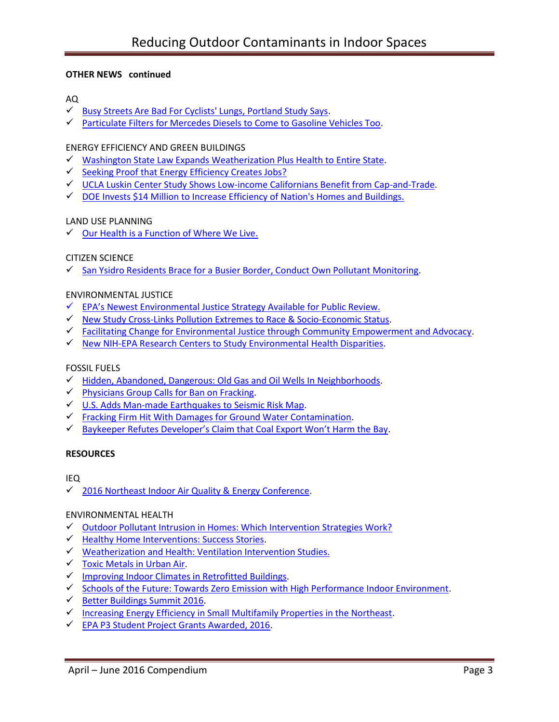## **OTHER NEWS continued**

# AQ

- [Busy Streets Are Bad For Cyclists' Lungs, Portland Study Says.](http://www.pdx.edu/sustainability/news/opb-busy-streets-are-bad-cyclists-lungs-portland-study-says)
- [Particulate Filters for Mercedes Diesels to Come to Gasoline Vehicles Too.](http://www.greencarreports.com/news/1104207_particulate-filters-for-mercedes-diesels-to-come-to-gasoline-vehicles-too.)

# ENERGY EFFICIENCY AND GREEN BUILDINGS

- [Washington State Law Expands Weatherization Plus Health to Entire State.](http://lawfilesext.leg.wa.gov/biennium/2015-16/Pdf/Bill%20Reports/House/1720%20HBR%20PL%2015.pdf)
- $\checkmark$  [Seeking Proof that Energy Efficiency Creates Jobs?](http://www.neep.org/blog/seeking-proof-energy-efficiency-creates-jobs-ask-us-department-energy)
- $\checkmark$  [UCLA Luskin Center Study Shows Low-income Californians Benefit from Cap-and-Trade.](http://newsroom.ucla.edu/stories/ucla-luskin-center-study-shows-low-income-californians-benefit-from-cap-and-trade)
- DOE Invests [\\$14 Million to Increase Efficiency of Nation's Homes and Buildings.](http://www.neep.org/blog/seeking-proof-energy-efficiency-creates-jobs-ask-us-department-energy)

# LAND USE PLANNING

 $\checkmark$  [Our Health is a Function of Where We Live.](http://www.thelancet.com/journals/lancet/article/PIIS0140-6736%2816%2900348-2/abstract)

## CITIZEN SCIENCE

[San Ysidro Residents Brace for a Busier Border, Conduct Own Pollutant Monitoring.](http://www.voiceofsandiego.org/topics/science-environment/san-ysidro-residents-brace-busier-border/)

## ENVIRONMENTAL JUSTICE

- $\checkmark$  EPA's Newest Environmental Justice Strategy Available for Public Review.
- [New Study Cross-Links Pollution Extremes to Race & Socio-Economic Status.](https://www.sesync.org/news/toxic-outliers)
- $\checkmark$  [Facilitating Change for Environmental Justice through](http://www.niehs.nih.gov/research/supported/translational/peph/grantee-highlights/2016/index.cfm) Community Empowerment and Advocacy.
- $\checkmark$  [New NIH-EPA Research Centers to Study Environmental Health Disparities.](http://www.niehs.nih.gov/news/newsroom/releases/2016/may25/index.cfm)

### FOSSIL FUELS

- [Hidden, Abandoned, Dangerous: Old Gas and Oil Wells In Neighborhoods.](http://www.npr.org/2016/05/30/474100388/hidden-abandoned-dangerous-old-gas-and-oil-wells-in-neighborhoods)
- $\checkmark$  [Physicians Group Calls for Ban on Fracking.](http://www.e-activist.com/ea-action/broadcast.record.message.click.do?ea.url.id=616197&ea.campaigner.email=2DEgPFoibvdOiO4f8OZ0W8LMtSVFLyox&ea.campaigner.id=vYhYjxR002qZkArzVWMSmA==&ea_broadcast_target_id=0)
- [U.S. Adds Man-made Earthquakes to Seismic Risk Map.](http://www.businessinsurance.com/article/20160328/NEWS03/160329812/united-states-geological-survey-revises-seismic-risk-map-to-include)
- $\checkmark$  [Fracking Firm Hit With Damages for Ground Water Contamination.](http://www.businessinsurance.com/article/20160311/NEWS06/160319964/pennsylvania-families-ely-hubert-of-dimock-win-4-2-million-damages)
- ◆ [Baykeeper Refutes Developer's Claim that Coal Export Won't Harm the Bay](https://baykeeper.org/blog/baykeeper-refutes-developer-claim-coal-export-wont-harm-bay).

### **RESOURCES**

# IEQ

[2016 Northeast Indoor Air Quality & Energy Conference.](http://www.maineindoorair.org/Workshop%20Schedule%202016%20-%20FINAL.pdf)

### ENVIRONMENTAL HEALTH

- $\checkmark$  Outdoor Pollutant Intrusion in Homes: Which Intervention Strategies Work?
- [Healthy Home Interventions: Success Stories.](http://www.greenandhealthyhomes.org/about-us/success-stories?field_location_tax_tid=All)
- [Weatherization and Health: Ventilation Intervention Studies.](http://www.nchh.org/Research/HealthV.aspx)
- $\checkmark$  [Toxic Metals in Urban Air.](http://www.pdx.edu/sustainability/urban-air)
- [Improving Indoor Climates in Retrofitted Buildings.](http://cordis.europa.eu/result/rcn/92528_en.html)
- $\checkmark$  [Schools of the Future: Towards Zero Emission with High Performance Indoor Environment.](http://www.school-of-the-future.eu/index.php/about)
- $\checkmark$  [Better Buildings Summit 2016.](http://betterbuildingssolutioncenter.energy.gov/search?f%5B0%5D=field_partner_type%3A1011&f%5B1%5D=field_content_type%3A847)
- $\checkmark$  [Increasing Energy Efficiency in Small Multifamily Properties in the Northeast.](http://www.neep.org/sites/default/files/resources/NEEP%20Multifamily%20Report_April%202014.pdf)
- [EPA P3 Student Project Grants Awarded, 2016.](https://www.epa.gov/P3/20152016-p3-grant-recipients)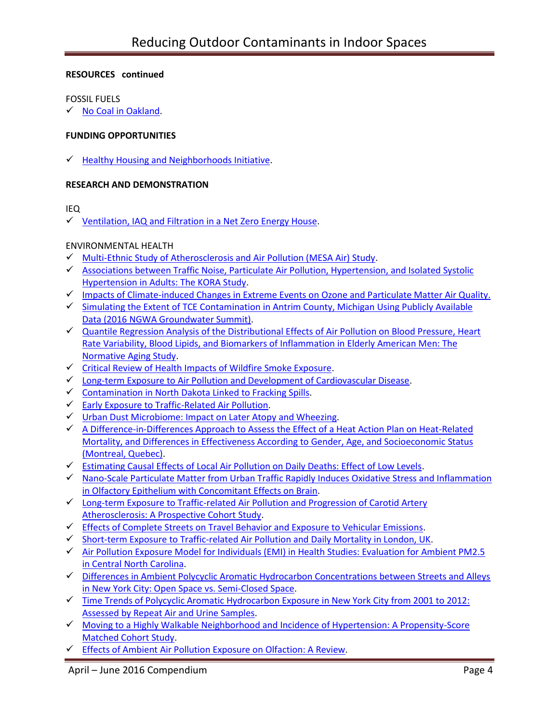## **RESOURCES continued**

#### FOSSIL FUELS

 $\checkmark$  [No Coal in Oakland.](http://nocoalinoakland.info/)

### **FUNDING OPPORTUNITIES**

 $\checkmark$  [Healthy Housing and Neighborhoods Initiative.](http://kresge.org/opportunities)

### **RESEARCH AND DEMONSTRATION**

### IEQ

 $\checkmark$  [Ventilation, IAQ and Filtration in a Net Zero Energy House.](http://www.nafahq.org/ventilation-iaq-and-filtration-in-a-net-zero-energy-house/)

## ENVIRONMENTAL HEALTH

- [Multi-Ethnic Study of Atherosclerosis and Air Pollution \(MESA Air\) Study.](http://depts.washington.edu/mesaair/)
- [Associations between Traffic Noise, Particulate Air Pollution, Hypertension, and Isolated Systolic](http://www.ncbi.nlm.nih.gov/pmc/articles/PMC4014763/)  [Hypertension in Adults: The KORA Study.](http://www.ncbi.nlm.nih.gov/pmc/articles/PMC4014763/)
- ← [Impacts of Climate-induced Changes in Extreme Events on Ozone and Particulate Matter Air Quality.](http://www.mtu.edu/geo/research/current/)
- $\checkmark$  Simulating the Extent of TCE Contamination in Antrim County, Michigan Using Publicly Available [Data \(2016 NGWA Groundwater Summit\).](https://ngwa.confex.com/ngwa/2016gws/webprogram/Paper10946.html)
- $\checkmark$  Quantile Regression Analysis of the Distributional Effects of Air Pollution on Blood Pressure, Heart [Rate Variability, Blood Lipids, and Biomarkers of Inflammation in Elderly American Men: The](http://ehp.niehs.nih.gov/15-10044/)  [Normative Aging Study.](http://ehp.niehs.nih.gov/15-10044/)
- $\checkmark$  [Critical Review of Health Impacts of Wildfire Smoke Exposure.](http://ehp.niehs.nih.gov/wp-content/uploads/advpub/2016/4/ehp.1409277.acco.pdf)
- $\checkmark$  [Long-term Exposure to Air Pollution and Development of Cardiovascular Disease.](https://www.epa.gov/research-grants/long-term-exposure-air-pollution-and-development-cardiovascular-disease)
- $\checkmark$  [Contamination in North Dakota Linked to Fracking Spills.](https://nicholas.duke.edu/about/news/ContaminationinNDLinkedtoFrackingSpills)
- [Early Exposure to Traffic-Related Air Pollution.](http://ehp.niehs.nih.gov/ehp239/)
- $\checkmark$  [Urban Dust Microbiome: Impact on Later Atopy and Wheezing.](http://ehp.niehs.nih.gov/ehp158/)
- $\checkmark$  A Difference-in-Differences Approach to Assess the Effect of a Heat Action Plan on Heat-Related [Mortality, and Differences in Effectiveness According to Gender, Age, and Socioeconomic Status](http://ehp.niehs.nih.gov/ehp203/)  [\(Montreal, Quebec\).](http://ehp.niehs.nih.gov/ehp203/)
- [Estimating Causal Effects of Local Air Pollution on Daily Deaths: Effect of Low Levels.](http://ehp.niehs.nih.gov/ehp232/)
- $\checkmark$  Nano-Scale Particulate Matter from Urban Traffic Rapidly Induces Oxidative Stress and Inflammation [in Olfactory Epithelium with Concomitant Effects on Brain.](http://ehp.niehs.nih.gov/ehp134/)
- $\checkmark$  Long-term Exposure to Traffic-related Air Pollution and Progression of Carotid Artery [Atherosclerosis: A Prospective Cohort Study.](http://www.ncbi.nlm.nih.gov/pmc/articles/PMC3987708/)
- $\checkmark$  [Effects of Complete Streets on Travel Behavior and Exposure to Vehicular Emissions.](http://www.arb.ca.gov/research/single-project.php?row_id=65095)
- [Short-term Exposure to Traffic-related Air Pollution and Daily Mortality in London, UK.](http://www.nature.com/jes/journal/v26/n2/abs/jes201565a.html?WT.ec_id=JES-201603&spMailingID=50713632&spUserID=MTY2MTU2MzQwNjg3S0&spJobID=862092438&spReportId=ODYyMDkyNDM4S0)
- [Air Pollution Exposure Model for Individuals \(EMI\) in Health Studies: Evaluation for Ambient PM2.5](http://pubs.acs.org/doi/10.1021/acs.est.5b02765)  [in Central North Carolina.](http://pubs.acs.org/doi/10.1021/acs.est.5b02765)
- ← Differences in Ambient Polycyclic Aromatic Hydrocarbon Concentrations between Streets and Alleys [in New York City: Open Space vs. Semi-Closed Space.](http://www.ncbi.nlm.nih.gov/pmc/articles/PMC4730518/)
- [Time Trends of Polycyclic Aromatic Hydrocarbon Exposure in New York City from 2001 to 2012:](http://www.ncbi.nlm.nih.gov/pubmed/24709094)  [Assessed by Repeat Air and Urine Samples.](http://www.ncbi.nlm.nih.gov/pubmed/24709094)
- $\checkmark$  Moving to a Highly Walkable Neighborhood and Incidence of Hypertension: A Propensity-Score [Matched Cohort Study.](http://ehp.niehs.nih.gov/15-10425/)
- [Effects of Ambient Air Pollution Exposure on](http://ehp.niehs.nih.gov/ehp136/) Olfaction: A Review.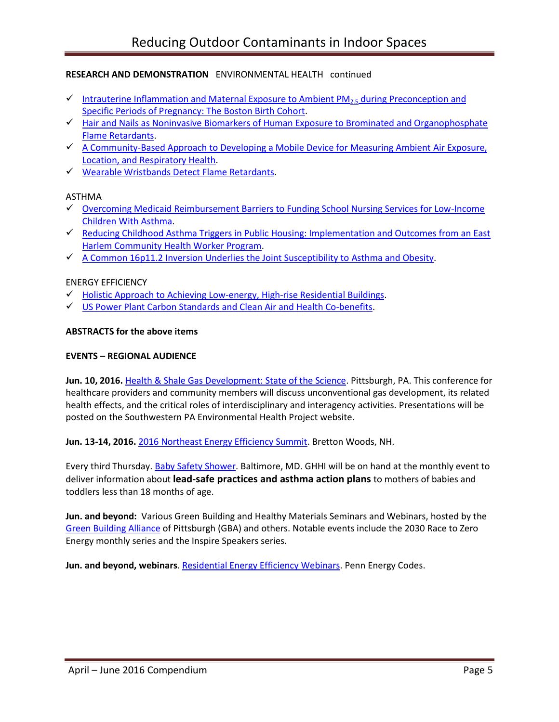- [Intrauterine Inflammation and Maternal Exposure to Ambient](http://ehp.niehs.nih.gov/EHP243/) PM<sub>2.5</sub> during Preconception and [Specific Periods of Pregnancy: The Boston Birth Cohort.](http://ehp.niehs.nih.gov/EHP243/)
- $\checkmark$  Hair and Nails as Noninvasive Biomarkers of Human Exposure to Brominated and Organophosphate [Flame Retardants.](http://pubs.acs.org/doi/abs/10.1021/acs.est.5b05073)
- $\checkmark$  [A Community-Based Approach to Developing a Mobile Device for Measuring Ambient](http://www.osti.gov/pages/biblio/1213217-community-based-approach-developing-mobile-device-measuring-ambient-air-exposure-location-respiratory-health) Air Exposure, [Location, and Respiratory Health.](http://www.osti.gov/pages/biblio/1213217-community-based-approach-developing-mobile-device-measuring-ambient-air-exposure-location-respiratory-health)
- [Wearable Wristbands Detect Flame Retardants.](http://blogs.edf.org/health/2016/06/01/wearable-wristbands-detect-flame-retardants/?_ga=1.2540856.966442427.146576)

### ASTHMA

- [Overcoming Medicaid Reimbursement Barriers to Funding School Nursing Services for Low-Income](http://www.ncbi.nlm.nih.gov/pubmed/27040476)  [Children With Asthma.](http://www.ncbi.nlm.nih.gov/pubmed/27040476)
- $\checkmark$  Reducing Childhood Asthma Triggers in Public [Housing: Implementation and Outcomes from an](http://online.liebertpub.com/doi/abs/10.1089/env.2015.0017) East Harlem Community [Health Worker Program.](http://online.liebertpub.com/doi/abs/10.1089/env.2015.0017)
- $\checkmark$  [A Common 16p11.2 Inversion Underlies the Joint Susceptibility to Asthma and Obesity.](https://www.ncbi.nlm.nih.gov/pubmed/24560518)

## ENERGY EFFICIENCY

- $\checkmark$  [Holistic Approach to Achieving Low-energy, High-rise Residential Buildings.](http://jen.sagepub.com/content/early/2016/01/19/1744259115623262.abstract)
- [US Power Plant Carbon Standards and Clean Air and Health Co-benefits.](http://www.nature.com/nclimate/journal/v5/n6/full/nclimate2598.html)

### **ABSTRACTS for the above items**

#### **EVENTS – REGIONAL AUDIENCE**

**Jun. 10, 2016.** [Health & Shale Gas Development: State of the Science.](http://www.environmentalhealthproject.org/wpforms/) Pittsburgh, PA. This conference for healthcare providers and community members will discuss unconventional gas development, its related health effects, and the critical roles of interdisciplinary and interagency activities. Presentations will be posted on the Southwestern PA Environmental Health Project website.

**Jun. 13-14, 2016.** [2016 Northeast Energy Efficiency Summit.](http://www.neep.org/events/2016-summit) Bretton Woods, NH.

Every third Thursday[. Baby Safety Shower.](http://www.greenandhealthyhomes.org/latest-events) Baltimore, MD. GHHI will be on hand at the monthly event to deliver information about **lead-safe practices and asthma action plans** to mothers of babies and toddlers less than 18 months of age.

**Jun. and beyond:** Various Green Building and Healthy Materials Seminars and Webinars, hosted by the [Green Building Alliance](https://www.go-gba.org/) of Pittsburgh (GBA) and others. Notable events include the 2030 Race to Zero Energy monthly series and the Inspire Speakers series.

**Jun. and beyond, webinars**[. Residential Energy Efficiency Webinars.](http://pennenergycodes.com/) Penn Energy Codes.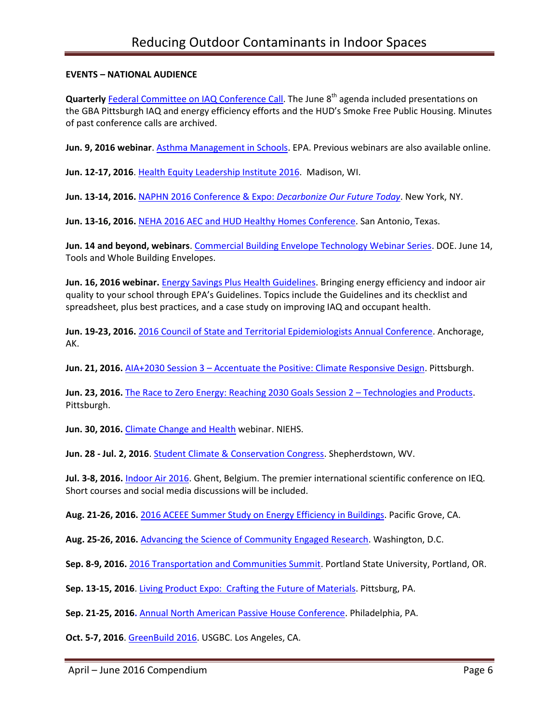## **EVENTS – NATIONAL AUDIENCE**

**Quarterly** [Federal Committee on IAQ Conference Call.](https://www.epa.gov/indoor-air-quality-iaq/federal-interagency-committee-indoor-air-quality) The June 8<sup>th</sup> agenda included presentations on the GBA Pittsburgh IAQ and energy efficiency efforts and the HUD's Smoke Free Public Housing. Minutes of past conference calls are archived.

**Jun. 9, 2016 webinar**. [Asthma Management in Schools.](https://www.epa.gov/iaq-schools/iaq-knowledge-action-professional-training-webinar-series) EPA. Previous webinars are also available online.

**Jun. 12-17, 2016**[. Health Equity Leadership Institute](https://uwheli.com/2016/06/08/heli-2016-starts-next-week-monday-june-13th/) 2016. Madison, WI.

**Jun. 13-14, 2016.** [NAPHN 2016 Conference & Expo:](http://naphnetwork.org/conference/) *Decarbonize Our Future Today*. New York, NY.

**Jun. 13-16, 2016.** [NEHA 2016 AEC and HUD Healthy Homes Conference.](http://www.neha.org/news-events/aec) San Antonio, Texas.

**Jun. 14 and beyond, webinars**. [Commercial Building Envelope Technology Webinar Series.](http://energy.gov/eere/buildings/events/commercial-building-envelope-technology-webinar-series-0) DOE. June 14, Tools and Whole Building Envelopes.

**Jun. 16, 2016 webinar.** [Energy Savings Plus Health Guidelines.](http://links.govdelivery.com/track?type=click&enid=ZWFzPTEmbWFpbGluZ2lkPTIwMTYwNTI0LjU5NDAwODYxJm1lc3NhZ2VpZD1NREItUFJELUJVTC0yMDE2MDUyNC41OTQwMDg2MSZkYXRhYmFzZWlkPTEwMDEmc2VyaWFsPTE3MDU5Nzc2JmVtYWlsaWQ9dGpwODM1QHNiY2dsb2JhbC5uZXQmdXNlcmlkPXRqcDgzNUBzYmNnbG9iYWwubmV0JmZsPSZleHRyYT1NdWx0aXZhcmlhdGVJZD0mJiY=&&&104&&&https://www.epa.gov/iaq-schools/iaq-guidelines-school-building-upgrades-energy-savings-plus-health?utm_content=&utm_medium=email&utm_name=&utm_source=govdelivery&utm_term=) Bringing energy efficiency and indoor air quality to your school through EPA's Guidelines. Topics include the Guidelines and its checklist and spreadsheet, plus best practices, and a case study on improving IAQ and occupant health.

**Jun. 19-23, 2016.** [2016 Council of State and Territorial Epidemiologists Annual Conference.](http://www.csteconference.org/2016/) Anchorage, AK.

**Jun. 21, 2016.** AIA+2030 Session 3 – [Accentuate the Positive: Climate Responsive Design.](https://www.go-gba.org/events/aia2030-session-3-accentuate-positive-climate-responsive-design/) Pittsburgh.

**Jun. 23, 2016.** [The Race to Zero Energy: Reaching 2030 Goals Session 2](https://www.go-gba.org/events/the-race-to-zero-energy-reaching-2030-goals-session-2-technologies-and-products/) – Technologies and Products. Pittsburgh.

**Jun. 30, 2016.** [Climate Change and Health](https://nih.webex.com/nih/onstage/g.php?MTID=e4abcfd4dbda1e6bc7ffb0bca5be8930a) webinar. NIEHS.

**Jun. 28 - Jul. 2, 2016**. [Student Climate & Conservation Congress.](http://www.greenschoolsalliance.org/students/student-climate-conservation-congress-sc3) Shepherdstown, WV.

**Jul. 3-8, 2016.** [Indoor Air 2016.](http://mms.isiaq.org/Calendar/moreinfo.php?eventid=30972) Ghent, Belgium. The premier international scientific conference on IEQ. Short courses and social media discussions will be included.

**Aug. 21-26, 2016.** [2016 ACEEE Summer Study on Energy Efficiency in Buildings.](http://aceee.org/conferences/2016/ssb) Pacific Grove, CA.

**Aug. 25-26, 2016.** [Advancing the Science of Community Engaged Research.](https://vanderbilt.irisregistration.com/Home/Site?code=engagedresearch) Washington, D.C.

**Sep. 8-9, 2016.** [2016 Transportation and Communities Summit.](http://trec.pdx.edu/summit/speakers) Portland State University, Portland, OR.

**Sep. 13-15, 2016**[. Living Product Expo: Crafting the Future of](http://www.livingproductexpo.org/about/) Materials. Pittsburg, PA.

**Sep. 21-25, 2016.** Annual North American [Passive House Conference.](http://naphc2016.phius.org/) Philadelphia, PA.

**Oct. 5-7, 2016**[. GreenBuild 2016.](http://greenbuildexpo.com/Attendee/ShowInfo) USGBC. Los Angeles, CA.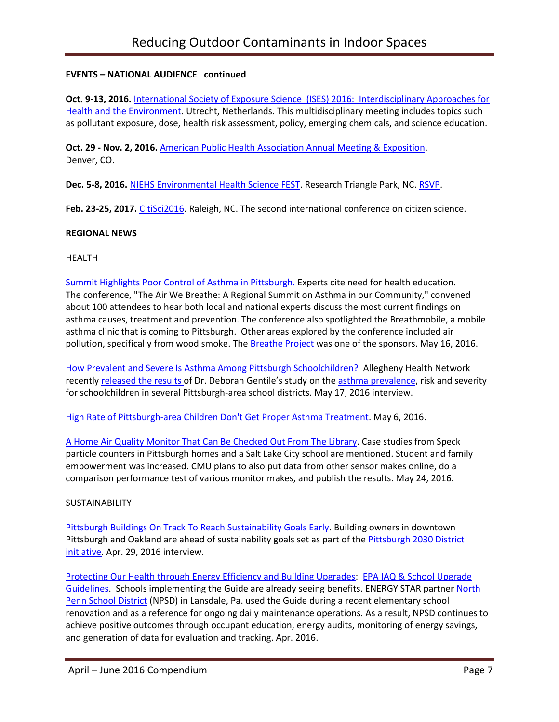## **EVENTS – NATIONAL AUDIENCE continued**

**Oct. 9-13, 2016.** [International Society of Exposure Science \(ISES\) 2016: Interdisciplinary Approaches for](http://ises2016.org/)  [Health and the Environment.](http://ises2016.org/) Utrecht, Netherlands. This multidisciplinary meeting includes topics such as pollutant exposure, dose, health risk assessment, policy, emerging chemicals, and science education.

**Oct. 29 - Nov. 2, 2016.** [American Public Health Association Annual Meeting & Exposition.](http://www.apha.org/events-and-meetings/annual) Denver, CO.

**Dec. 5-8, 2016.** [NIEHS Environmental Health Science FEST.](http://tools.niehs.nih.gov/conference/ehs_fest/) Research Triangle Park, NC. [RSVP.](https://www.surveymonkey.com/r/EHSFESTRSVP)

**Feb. 23-25, 2017.** [CitiSci2016.](http://citizenscienceassociation.org/conference/citizen-science-2017/) Raleigh, NC. The second international conference on citizen science.

### **REGIONAL NEWS**

### HEALTH

[Summit Highlights Poor Control of Asthma in Pittsburgh.](http://www.post-gazette.com/local/city/2014/05/17/Summit-highlights-poor-control-of-asthma-here/stories/201405170114) Experts cite need for health education. The conference, "The Air We Breathe: A Regional Summit on Asthma in our Community," convened about 100 attendees to hear both local and national experts discuss the most current findings on asthma causes, treatment and prevention. The conference also spotlighted the Breathmobile, a mobile asthma clinic that is coming to Pittsburgh. Other areas explored by the conference included air pollution, specifically from wood smoke. The [Breathe Project](https://www.facebook.com/breatheproject/posts/1077241472363602) was one of the sponsors. May 16, 2016.

[How Prevalent and Severe Is Asthma Among Pittsburgh Schoolchildren?](http://wesa.fm/post/how-prevalent-and-severe-asthma-among-pittsburgh-schoolchildren) Allegheny Health Network recently [released the results](http://npaf.org/jobs/app/document/13535415;jsessionid=10l3b3h7w61ujfq4vyq45lxhh) of Dr. Deborah Gentile's study on the asthma [prevalence,](http://wesa.fm/post/poor-air-quality-linked-high-asthma-rate-pittsburgh-children) risk and severity for schoolchildren in several Pittsburgh-area school districts. May 17, 2016 interview.

[High Rate of Pittsburgh-area Children Don't Get Proper Asthma Treatment.](http://www.post-gazette.com/news/health/2016/05/06/Tracking-asthma-in-Pittsburgh-children-finds-high-rates/stories/201605060082?utm_source=newsletter&utm_medium=email&utm_content=editors-picks-news-frontpage&utm_campaign=Headlines-Newsletter) May 6, 2016.

[A Home Air Quality Monitor That Can Be Checked Out From The Library.](http://www.npr.org/2015/05/24/408786881/a-home-air-quality-monitor-that-can-be-checked-out-from-the-library) Case studies from Speck particle counters in Pittsburgh homes and a Salt Lake City school are mentioned. Student and family empowerment was increased. CMU plans to also put data from other sensor makes online, do a comparison performance test of various monitor makes, and publish the results. May 24, 2016.

### **SUSTAINABILITY**

[Pittsburgh Buildings On Track To Reach Sustainability Goals Early.](http://wesa.fm/post/pittsburgh-buildings-track-reach-sustainability-goals-early) Building owners in downtown Pittsburgh and Oakland are ahead of sustainability goals set as part of the Pittsburgh 2030 District [initiative.](https://www.go-gba.org/initiatives/pittsburgh-2030-district/) Apr. 29, 2016 interview.

[Protecting Our Health through Energy Efficiency and Building Upgrades:](https://www.energystar.gov/about/newsroom/the-energy-source/201604) [EPA IAQ & School Upgrade](https://www.epa.gov/iaq-schools/iaq-guidelines-school-building-upgrades-energy-savings-plus-health)  [Guidelines.](https://www.epa.gov/iaq-schools/iaq-guidelines-school-building-upgrades-energy-savings-plus-health) Schools implementing the Guide are already seeing benefits. ENERGY STAR partner [North](http://viewer.epaperflip.com/Viewer.aspx?docid=5d5d4e03-a09c-42b1-ba17-a5a601778eb9#?page=50) [Penn School District](http://viewer.epaperflip.com/Viewer.aspx?docid=5d5d4e03-a09c-42b1-ba17-a5a601778eb9#?page=50) (NPSD) in Lansdale, Pa. used the Guide during a recent elementary school renovation and as a reference for ongoing daily maintenance operations. As a result, NPSD continues to achieve positive outcomes through occupant education, energy audits, monitoring of energy savings, and generation of data for evaluation and tracking. Apr. 2016.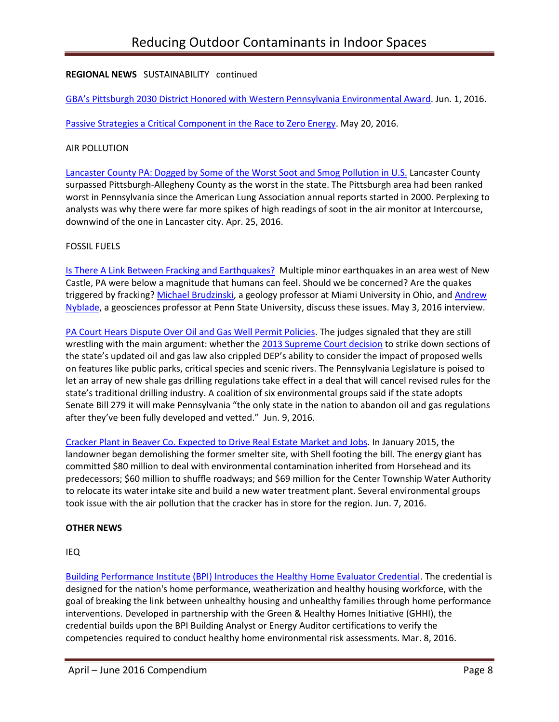# **REGIONAL NEWS** SUSTAINABILITY continued

[GBA's Pittsburgh 2030 District Honored with Weste](https://www.go-gba.org/gbas-pittsburgh-2030-district-honored-western-pennsylvania-environmental-award/)rn Pennsylvania Environmental Award. Jun. 1, 2016.

[Passive Strategies a Critical Component in the Race to Zero Energy.](https://www.go-gba.org/passive-strategies-a-critical-component-in-the-race-to-zero-energy/) May 20, 2016.

### AIR POLLUTION

[Lancaster County PA: Dogged by Some of the Worst Soot and Smog Pollution in U.S.](http://lancasteronline.com/news/local/lancaster-county-still-dogged-by-some-of-the-worst-soot/article_fbe227b4-0ae4-11e6-8a60-8b48988b7daf.html) Lancaster County surpassed Pittsburgh-Allegheny County as the worst in the state. The Pittsburgh area had been ranked worst in Pennsylvania since the American Lung Association annual reports started in 2000. Perplexing to analysts was why there were far more spikes of high readings of soot in the air monitor at Intercourse, downwind of the one in Lancaster city. Apr. 25, 2016.

## FOSSIL FUELS

[Is There A Link Between Fracking and Earthquakes?](http://wesa.fm/post/there-link-between-fracking-and-earthquakes) Multiple minor earthquakes in an area west of New Castle, PA were below a magnitude that humans can feel. Should we be concerned? Are the quakes triggered by fracking? [Michael Brudzinski,](http://miamioh.edu/cas/academics/departments/geology/about/brudzinski/index.html) a geology professor at Miami University in Ohio, and [Andrew](http://www.geosc.psu.edu/academic-faculty/nyblade-andrew)  [Nyblade,](http://www.geosc.psu.edu/academic-faculty/nyblade-andrew) a geosciences professor at Penn State University, discuss these issues. May 3, 2016 interview.

[PA Court Hears Dispute Over Oil and Gas Well Permit Policies.](http://powersource.post-gazette.com/powersource/policy-powersource/2016/06/09/Court-hears-arguments-over-oil-and-gas-well-permit-policies-PIOGA-Pennsylvania-DEP/stories/201606090061) The judges signaled that they are still wrestling with the main argument: whether the [2013 Supreme Court decision](http://www.post-gazette.com/local/2013/12/19/Pennsylvania-Supreme-Court-declares-portions-of-shale-drilling-law-unconstitutional/stories/201312190254) to strike down sections of the state's updated oil and gas law also crippled DEP's ability to consider the impact of proposed wells on features like public parks, critical species and scenic rivers. The Pennsylvania Legislature is poised to let an array of new shale gas drilling regulations take effect in a deal that will cancel revised rules for the state's traditional drilling industry. A coalition of six environmental groups said if the state adopts Senate Bill 279 it will make Pennsylvania "the only state in the nation to abandon oil and gas regulations after they've been fully developed and vetted." Jun. 9, 2016.

[Cracker Plant in Beaver Co. Expected to Drive Real Estate Market and Jobs.](http://powersource.post-gazette.com/business/development/2016/06/11/Cracker-plant-expected-to-drive-real-estate-market/stories/201606110026) In January 2015, the landowner began demolishing the former smelter site, with Shell footing the bill. The energy giant has committed \$80 million to deal with environmental contamination inherited from Horsehead and its predecessors; \$60 million to shuffle roadways; and \$69 million for the Center Township Water Authority to relocate its water intake site and build a new water treatment plant. Several environmental groups took issue with the air pollution that the cracker has in store for the region. Jun. 7, 2016.

### **OTHER NEWS**

IEQ

[Building Performance Institute \(BPI\) Introduces the Healthy Home Evaluator Credential.](http://www.bpi.org/news_expansion.aspx?selectedID=2303) The credential is designed for the nation's home performance, weatherization and healthy housing workforce, with the goal of breaking the link between unhealthy housing and unhealthy families through home performance interventions. Developed in partnership with the Green & Healthy Homes Initiative (GHHI), the credential builds upon the BPI Building Analyst or Energy Auditor certifications to verify the competencies required to conduct healthy home environmental risk assessments. Mar. 8, 2016.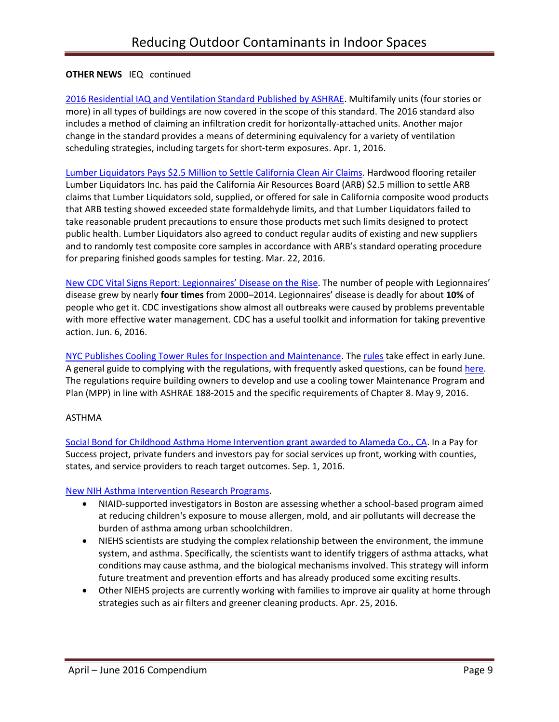## **OTHER NEWS** IEQ continued

[2016 Residential IAQ and Ventilation Standard Published by ASHRAE.](http://iaqlivewire.com/?p=213) Multifamily units (four stories or more) in all types of buildings are now covered in the scope of this standard. The 2016 standard also includes a method of claiming an infiltration credit for horizontally-attached units. Another major change in the standard provides a means of determining equivalency for a variety of ventilation scheduling strategies, including targets for short-term exposures. Apr. 1, 2016.

[Lumber Liquidators Pays \\$2.5 Million to Settle](http://www.arb.ca.gov/newsrel/newsrelease.php?id=799) California Clean Air Claims. Hardwood flooring retailer Lumber Liquidators Inc. has paid the California Air Resources Board (ARB) \$2.5 million to settle ARB claims that Lumber Liquidators sold, supplied, or offered for sale in California composite wood products that ARB testing showed exceeded state formaldehyde limits, and that Lumber Liquidators failed to take reasonable prudent precautions to ensure those products met such limits designed to protect public health. Lumber Liquidators also agreed to conduct regular audits of existing and new suppliers and to randomly test composite core samples in accordance with ARB's standard operating procedure for preparing finished goods samples for testing. Mar. 22, 2016.

[New CDC Vital Signs R](http://www.cdc.gov/vitalsigns/legionnaires/)eport: Legionnaires' Disease on the Rise. The number of people with Legionnaires' disease grew by nearly **four times** from 2000–2014. Legionnaires' disease is deadly for about **10%** of people who get it. CDC investigations show almost all outbreaks were caused by problems preventable with more effective water management. CDC has a useful toolkit and information for taking preventive action. Jun. 6, 2016.

[NYC Publishes Cooling Tower Rules for Inspection and Maintenance.](http://iaqlivewire.com/?p=209) The [rules](http://www1.nyc.gov/site/doh/health/health-topics/legionnaires-disease-commissioners-order.page) take effect in early June. A general guide to complying with the regulations, with frequently asked questions, can be found [here.](http://www1.nyc.gov/assets/doh/downloads/pdf/cd/cooling-tower-FAQs.pdf) The regulations require building owners to develop and use a cooling tower Maintenance Program and Plan (MPP) in line with ASHRAE 188-2015 and the specific requirements of Chapter 8. May 9, 2016.

### ASTHMA

[Social Bond for Childhood Asthma Home Intervention grant awarded to Alameda Co., CA.](http://www.payforsuccess.org/resources/alameda-county-granted-competitive-pay-success-award) In a Pay for Success project, private funders and investors pay for social services up front, working with counties, states, and service providers to reach target outcomes. Sep. 1, 2016.

### [New NIH Asthma Intervention Research Programs.](http://www.niehs.nih.gov/news/newsroom/releases/2016/may3/index.cfm)

- NIAID-supported investigators in Boston are assessing whether a school-based program aimed at reducing children's exposure to mouse allergen, mold, and air pollutants will decrease the burden of asthma among urban schoolchildren.
- NIEHS scientists are studying the complex relationship between the environment, the immune system, and asthma. Specifically, the scientists want to identify triggers of asthma attacks, what conditions may cause asthma, and the biological mechanisms involved. This strategy will inform future treatment and prevention efforts and has already produced some exciting results.
- Other NIEHS projects are currently working with families to improve air quality at home through strategies such as air filters and greener cleaning products. Apr. 25, 2016.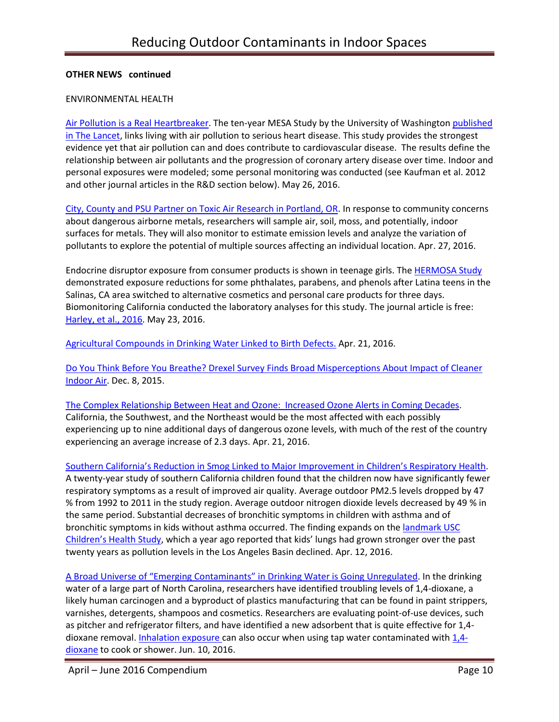### **OTHER NEWS continued**

#### ENVIRONMENTAL HEALTH

[Air Pollution is a Real Heartbreaker.](http://grist.org/justice/air-pollution-is-a-real-heartbreaker-no-really/) The ten-year MESA Study by the University of Washington [published](http://www.thelancet.com/journals/lancet/article/PIIS0140-6736%2816%2900378-0/fulltext)  [in The Lancet,](http://www.thelancet.com/journals/lancet/article/PIIS0140-6736%2816%2900378-0/fulltext) links living with air pollution to serious heart disease. This study provides the strongest evidence yet that air pollution can and does contribute to cardiovascular disease. The results define the relationship between air pollutants and the progression of coronary artery disease over time. Indoor and personal exposures were modeled; some personal monitoring was conducted (see Kaufman et al. 2012 and other journal articles in the R&D section below). May 26, 2016.

[City, County and PSU Partner on Toxic Air Research in Portland, OR.](http://portlandtribune.com/pt/9-news/304125-182207-city-county-and-psu-partner-on-toxic-air-research) In response to community concerns about dangerous airborne metals, researchers will sample air, soil, moss, and potentially, indoor surfaces for metals. They will also monitor to estimate emission levels and analyze the variation of pollutants to explore the potential of multiple sources affecting an individual location. Apr. 27, 2016.

Endocrine disruptor exposure from consumer products is shown in teenage girls. The [HERMOSA Study](http://r20.rs6.net/tn.jsp?f=001IEfwEDEgr841LBeJP-Xz2U05SIKno5sF1_XfSOqT4Do9rRtfRbX5KIpRiFVL55Xd05VvQ4BHKYGsGg5sMYYavUJyndtVOln4WnHo-7maNSjfc9lF-58JiNlLTsF8yZ7pc_hcMyYMNc_YvjoMOwEq2CzJ-ZNhS3fA3FWBahIfRVQSiCcAirKcugqhEJh8aFeKzFXBgiTxaKmUflbFuH2KxA==&c=Sh_e8KB6gmTQwT_OhHxt8NuFbKiHT0aYqm3NhCsJSev0oE6Ww90rdQ==&ch=EhRV8sVoxxBg0U8cAlpqksMMAYJsc9AJJGpQp7Cafex4h8sUVmGRLA==) demonstrated exposure reductions for some phthalates, parabens, and phenols after Latina teens in the Salinas, CA area switched to alternative cosmetics and personal care products for three days. Biomonitoring California conducted the laboratory analyses for this study. The journal article is free: [Harley, et al., 2016.](http://ehp.niehs.nih.gov/15-10514/) May 23, 2016.

[Agricultural Compounds in Drinking](https://vitalrecord.tamhsc.edu/agricultural-compounds-drinking-water-linked-birth-defects/) Water Linked to Birth Defects. Apr. 21, 2016.

[Do You Think Before You Breathe? Drexel Survey Finds Broad Misperceptions About Impact of Cleaner](http://drexel.edu/cae/news-events/news/2015/December/GurianWaringIndoorAirSurvey/)  [Indoor Air.](http://drexel.edu/cae/news-events/news/2015/December/GurianWaringIndoorAirSurvey/) Dec. 8, 2015.

[The Complex Relationship Between Heat and Ozone: Increased Ozone Alerts in Coming Decades.](http://news.harvard.edu/gazette/story/2016/04/the-complex-relationship-between-heat-and-ozone/) California, the Southwest, and the Northeast would be the most affected with each possibly experiencing up to nine additional days of dangerous ozone levels, with much of the rest of the country experiencing an average increase of 2.3 days. Apr. 21, 2016.

Southern California's [Reduction in Smog Linked to Major Improvement in C](https://pressroom.usc.edu/southern-californias-reduction-in-smog-linked-to-major-improvement-in-childrens-respiratory-health/)hildren's Respiratory Health. A twenty-year study of southern California children found that the children now have significantly fewer respiratory symptoms as a result of improved air quality. Average outdoor PM2.5 levels dropped by 47 % from 1992 to 2011 in the study region. Average outdoor nitrogen dioxide levels decreased by 49 % in the same period. Substantial decreases of bronchitic symptoms in children with asthma and of bronchitic symptoms in kids without asthma occurred. The finding expands on the landmark USC [Children's Health Study,](https://news.usc.edu/76761/las-environmental-success-story-cleaner-air-healthier-kids/) which a year ago reported that kids' lungs had grown stronger over the past twenty years as pollution levels in the Los Angeles Basin declined. Apr. 12, 2016.

A Broad Universe of "Emerging Contaminants" in [Drinking Water is Going Unregulated.](https://www.washingtonpost.com/national/health-science/in-us-drinking-water-many-chemicals-are-regulated--but-many-arent/2016/06/09/e48683bc-21b9-11e6-aa84-42391ba52c91_story.html?wpisrc=nl_amk&wpmm=1) In the drinking water of a large part of North Carolina, researchers have identified troubling levels of 1,4-dioxane, a likely human carcinogen and a byproduct of plastics manufacturing that can be found in paint strippers, varnishes, detergents, shampoos and cosmetics. Researchers are evaluating point-of-use devices, such as pitcher and refrigerator filters, and have identified a new adsorbent that is quite effective for 1,4 dioxane removal. [Inhalation exposure](http://www.atsdr.cdc.gov/mmg/mmg.asp?id=1205&tid=199) can also occur when using tap water contaminated with [1,4](http://www.atsdr.cdc.gov/mmg/mmg.asp?id=1205&tid=199) [dioxane](http://www.atsdr.cdc.gov/mmg/mmg.asp?id=1205&tid=199) to cook or shower. Jun. 10, 2016.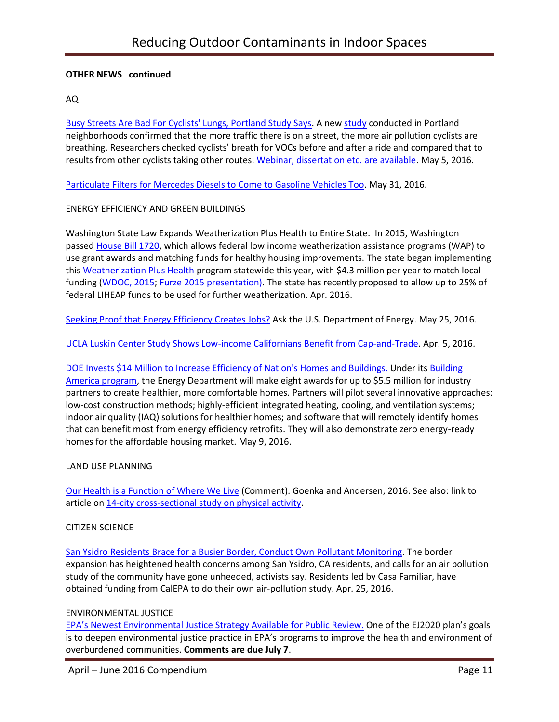### **OTHER NEWS continued**

### AQ

[Busy Streets Are Bad For Cyclists' Lungs, Portland Study Says.](http://www.pdx.edu/sustainability/news/opb-busy-streets-are-bad-cyclists-lungs-portland-study-says) A new [study](http://pubs.acs.org/doi/abs/10.1021/acs.est.6b01159) conducted in Portland neighborhoods confirmed that the more traffic there is on a street, the more air pollution cyclists are breathing. Researchers checked cyclists' breath for VOCs before and after a ride and compared that to results from other cyclists taking other routes. [Webinar, dissertation etc. are available.](http://trec.pdx.edu/research/project/849) May 5, 2016.

[Particulate Filters for Mercedes Diesels to Come to Gasoline Vehicles Too.](http://www.greencarreports.com/news/1104207_particulate-filters-for-mercedes-diesels-to-come-to-gasoline-vehicles-too.) May 31, 2016.

## ENERGY EFFICIENCY AND GREEN BUILDINGS

Washington State Law Expands Weatherization Plus Health to Entire State. In 2015, Washington passed [House Bill 1720,](http://lawfilesext.leg.wa.gov/biennium/2015-16/Pdf/Bill%20Reports/House/1720%20HBR%20PL%2015.pdf) which allows federal low income weatherization assistance programs (WAP) to use grant awards and matching funds for healthy housing improvements. The state began implementing this [Weatherization Plus Health](http://www.nchh.org/Policy/1000Communities/1KCPolicy/WeatherizationPlusHealth.aspx) program statewide this year, with \$4.3 million per year to match local funding [\(WDOC, 2015;](http://www.commerce.wa.gov/Programs/services/weatherization/Pages/MatchmakerProgram.aspx) [Furze 2015 presentation\).](https://www.google.com/url?sa=t&rct=j&q=&esrc=s&source=web&cd=7&ved=0ahUKEwjdlLnJ0fHMAhXqzIMKHQMAC5oQFghEMAY&url=http://www.nchh.org/Portals/0/Contents/Washington%2012-15-15%20Presenatation.pptx&usg=AFQjCNHnbyyNfY-Ygr2WHzo95I7lp8zN0w&sig2=v_qy0pIdo2Cyxgtp7ARwPQ) The state has recently proposed to allow up to 25% of federal LIHEAP funds to be used for further weatherization. Apr. 2016.

[Seeking Proof that Energy Efficiency Creates Jobs?](http://www.neep.org/blog/seeking-proof-energy-efficiency-creates-jobs-ask-us-department-energy) Ask the U.S. Department of Energy. May 25, 2016.

[UCLA Luskin Center Study Shows Low-income Californians Benefit from Cap-and-Trade.](http://newsroom.ucla.edu/stories/ucla-luskin-center-study-shows-low-income-californians-benefit-from-cap-and-trade) Apr. 5, 2016.

# DOE Invests [\\$14 Million to Increase Efficiency of Nation's Homes and](http://www.neep.org/blog/seeking-proof-energy-efficiency-creates-jobs-ask-us-department-energy) Buildings. Under its [Building](http://energy.gov/eere/buildings/building-america-bringing-building-innovations-market)  [America program,](http://energy.gov/eere/buildings/building-america-bringing-building-innovations-market) the Energy Department will make eight awards for up to \$5.5 million for industry partners to create healthier, more comfortable homes. Partners will pilot several innovative approaches: low-cost construction methods; highly-efficient integrated heating, cooling, and ventilation systems; indoor air quality (IAQ) solutions for healthier homes; and software that will remotely identify homes that can benefit most from energy efficiency retrofits. They will also demonstrate zero energy-ready homes for the affordable housing market. May 9, 2016.

### LAND USE PLANNING

[Our Health is a Function of Where We Live](http://www.thelancet.com/journals/lancet/article/PIIS0140-6736%2816%2900348-2/abstract) (Comment). Goenka and Andersen, 2016. See also: link to article o[n 14-city cross-sectional study on physical activity.](http://www.thelancet.com/journals/lancet/article/PIIS0140-6736%2815%2901284-2/abstract)

### CITIZEN SCIENCE

[San Ysidro Residents Brace for a Busier Border, Conduct Own](http://www.voiceofsandiego.org/topics/science-environment/san-ysidro-residents-brace-busier-border/) Pollutant Monitoring. The border expansion has heightened health concerns among San Ysidro, CA residents, and calls for an air pollution study of the community have gone unheeded, activists say. Residents led by Casa Familiar, have obtained funding from CalEPA to do their own air-pollution study. Apr. 25, 2016.

### ENVIRONMENTAL JUSTICE

EPA's Newest Environmental Justice [Strategy Available for Public Review.](https://blog.epa.gov/blog/2016/05/ej-ej2020-2/) One of the EJ2020 plan's goals is to deepen environmental justice practice in EPA's programs to improve the health and environment of overburdened communities. **Comments are due July 7**.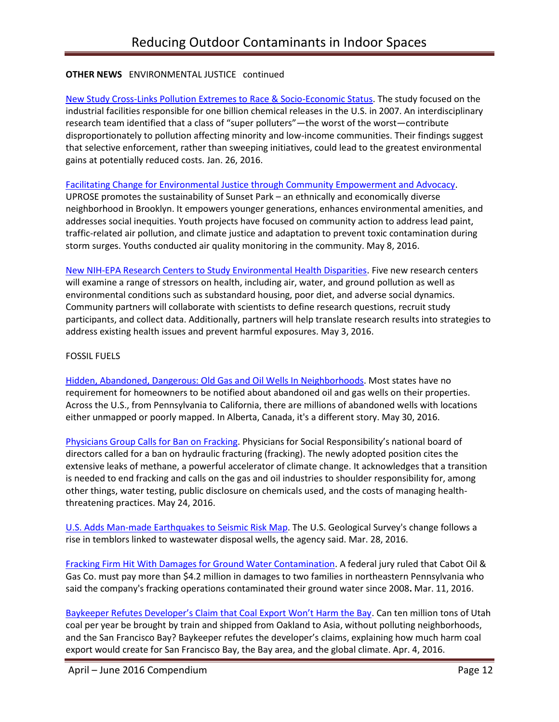# **OTHER NEWS** ENVIRONMENTAL JUSTICE continued

[New Study Cross-Links Pollution Extremes to Race & Socio-Economic Status.](https://www.sesync.org/news/toxic-outliers) The study focused on the industrial facilities responsible for one billion chemical releases in the U.S. in 2007. An interdisciplinary research team identified that a class of "super polluters"—the worst of the worst—contribute disproportionately to pollution affecting minority and low-income communities. Their findings suggest that selective enforcement, rather than sweeping initiatives, could lead to the greatest environmental gains at potentially reduced costs. Jan. 26, 2016.

[Facilitating Change for Environmental Justice through](http://www.niehs.nih.gov/research/supported/translational/peph/grantee-highlights/2016/index.cfm) Community Empowerment and Advocacy.

UPROSE promotes the sustainability of Sunset Park – an ethnically and economically diverse neighborhood in Brooklyn. It empowers younger generations, enhances environmental amenities, and addresses social inequities. Youth projects have focused on community action to address lead paint, traffic-related air pollution, and climate justice and adaptation to prevent toxic contamination during storm surges. Youths conducted air quality monitoring in the community. May 8, 2016.

[New NIH-EPA Research Centers to Study Environmental Health Disparities.](http://www.niehs.nih.gov/news/newsroom/releases/2016/may25/index.cfm) Five new research centers will examine a range of stressors on health, including air, water, and ground pollution as well as environmental conditions such as substandard housing, poor diet, and adverse social dynamics. Community partners will collaborate with scientists to define research questions, recruit study participants, and collect data. Additionally, partners will help translate research results into strategies to address existing health issues and prevent harmful exposures. May 3, 2016.

### FOSSIL FUELS

Hidden, [Abandoned, Dangerous: Old Gas and Oil Wells In Neighborhoods.](http://www.npr.org/2016/05/30/474100388/hidden-abandoned-dangerous-old-gas-and-oil-wells-in-neighborhoods) Most states have no requirement for homeowners to be notified about abandoned oil and gas wells on their properties. Across the U.S., from Pennsylvania to California, there are millions of abandoned wells with locations either unmapped or poorly mapped. In Alberta, Canada, it's a different story. May 30, 2016.

[Physicians Group Calls for Ban on Fracking.](http://www.e-activist.com/ea-action/broadcast.record.message.click.do?ea.url.id=616197&ea.campaigner.email=2DEgPFoibvdOiO4f8OZ0W8LMtSVFLyox&ea.campaigner.id=vYhYjxR002qZkArzVWMSmA==&ea_broadcast_target_id=0) Physicians for Social Responsibility's national board of directors called for a ban on hydraulic fracturing (fracking). The newly adopted position cites the extensive leaks of methane, a powerful accelerator of climate change. It acknowledges that a transition is needed to end fracking and calls on the gas and oil industries to shoulder responsibility for, among other things, water testing, public disclosure on chemicals used, and the costs of managing healththreatening practices. May 24, 2016.

[U.S. Adds Man-made Earthquakes to Seismic Risk Map.](http://www.businessinsurance.com/article/20160328/NEWS03/160329812/united-states-geological-survey-revises-seismic-risk-map-to-include) The U.S. Geological Survey's change follows a rise in temblors linked to wastewater disposal wells, the agency said. Mar. 28, 2016.

[Fracking Firm Hit With Damages for Ground Water Contamination.](http://www.businessinsurance.com/article/20160311/NEWS06/160319964/pennsylvania-families-ely-hubert-of-dimock-win-4-2-million-damages) A federal jury ruled that Cabot Oil & Gas Co. must pay more than \$4.2 million in damages to two families in northeastern Pennsylvania who said the company's fracking operations contaminated their ground water since 2008**.** Mar. 11, 2016.

[Baykeeper Refutes Developer's Claim that Coal Export Won't Harm the Bay](https://baykeeper.org/blog/baykeeper-refutes-developer-claim-coal-export-wont-harm-bay). Can ten million tons of Utah coal per year be brought by train and shipped from Oakland to Asia, without polluting neighborhoods, and the San Francisco Bay? Baykeeper refutes the developer's claims, explaining how much harm coal export would create for San Francisco Bay, the Bay area, and the global climate. Apr. 4, 2016.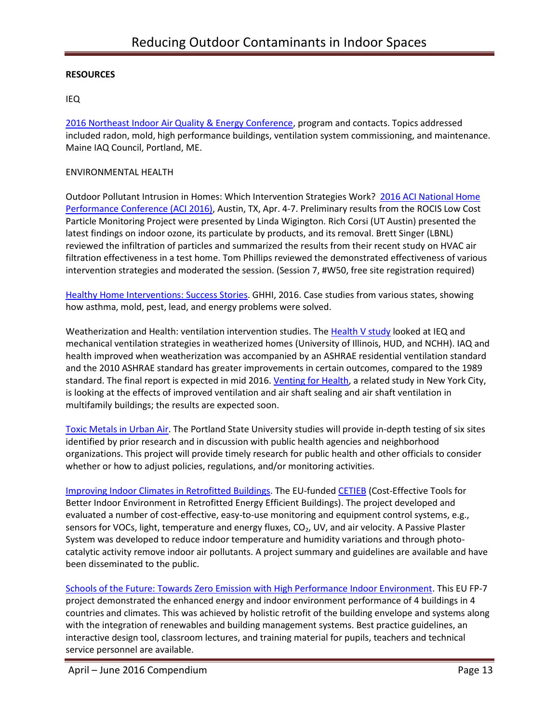## **RESOURCES**

## IEQ

[2016 Northeast Indoor Air Quality & Energy Conference,](http://www.maineindoorair.org/Workshop%20Schedule%202016%20-%20FINAL.pdf) program and contacts. Topics addressed included radon, mold, high performance buildings, ventilation system commissioning, and maintenance. Maine IAQ Council, Portland, ME.

#### ENVIRONMENTAL HEALTH

Outdoor Pollutant Intrusion in Homes: Which Intervention Strategies Work? [2016 ACI National Home](http://www.eventscribe.com/2016/ACINational/aaSearchByDay.asp?day=4/6/2016&theday=Wednesday&BCFO=P)  [Performance Conference \(ACI 2016\),](http://www.eventscribe.com/2016/ACINational/aaSearchByDay.asp?day=4/6/2016&theday=Wednesday&BCFO=P) Austin, TX, Apr. 4-7. Preliminary results from the ROCIS Low Cost Particle Monitoring Project were presented by Linda Wigington. Rich Corsi (UT Austin) presented the latest findings on indoor ozone, its particulate by products, and its removal. Brett Singer (LBNL) reviewed the infiltration of particles and summarized the results from their recent study on HVAC air filtration effectiveness in a test home. Tom Phillips reviewed the demonstrated effectiveness of various intervention strategies and moderated the session. (Session 7, #W50, free site registration required)

[Healthy Home Interventions: Success Stories.](http://www.greenandhealthyhomes.org/about-us/success-stories?field_location_tax_tid=All) GHHI, 2016. Case studies from various states, showing how asthma, mold, pest, lead, and energy problems were solved.

Weatherization and Health: ventilation intervention studies. Th[e Health V study](http://www.nchh.org/Research/HealthV.aspx) looked at IEQ and mechanical ventilation strategies in weatherized homes (University of Illinois, HUD, and NCHH). IAQ and health improved when weatherization was accompanied by an ASHRAE residential ventilation standard and the 2010 ASHRAE standard has greater improvements in certain outcomes, compared to the 1989 standard. The final report is expected in mid 2016[. Venting for Health,](http://www.nchh.org/Research/VentingforHealth.aspx) a related study in New York City, is looking at the effects of improved ventilation and air shaft sealing and air shaft ventilation in multifamily buildings; the results are expected soon.

[Toxic Metals in Urban Air.](http://www.pdx.edu/sustainability/urban-air) The Portland State University studies will provide in-depth testing of six sites identified by prior research and in discussion with public health agencies and neighborhood organizations. This project will provide timely research for public health and other officials to consider whether or how to adjust policies, regulations, and/or monitoring activities.

[Improving Indoor Climates in Retrofitted Buildings.](http://cordis.europa.eu/result/rcn/92528_en.html) The EU-funde[d CETIEB](http://www.cetieb.eu/) (Cost-Effective Tools for Better Indoor Environment in Retrofitted Energy Efficient Buildings). The project developed and evaluated a number of cost-effective, easy-to-use monitoring and equipment control systems, e.g., sensors for VOCs, light, temperature and energy fluxes, CO<sub>2</sub>, UV, and air velocity. A Passive Plaster System was developed to reduce indoor temperature and humidity variations and through photocatalytic activity remove indoor air pollutants. A project summary and guidelines are available and have been disseminated to the public.

[Schools of the Future: Towards Zero Emission with High Performance Indoor Environment.](http://www.school-of-the-future.eu/index.php/about) This EU FP-7 project demonstrated the enhanced energy and indoor environment performance of 4 buildings in 4 countries and climates. This was achieved by holistic retrofit of the building envelope and systems along with the integration of renewables and building management systems. Best practice guidelines, an interactive design tool, classroom lectures, and training material for pupils, teachers and technical service personnel are available.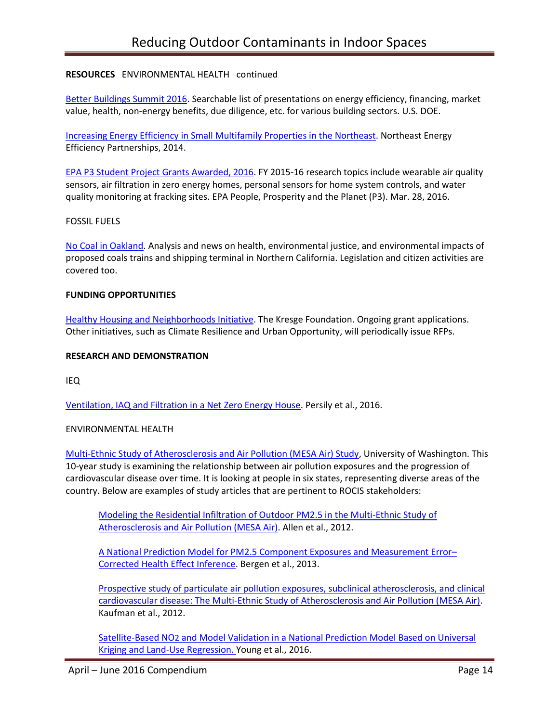## **RESOURCES** ENVIRONMENTAL HEALTH continued

[Better Buildings Summit 2016.](http://betterbuildingssolutioncenter.energy.gov/search?f%5B0%5D=field_partner_type%3A1011&f%5B1%5D=field_content_type%3A847) Searchable list of presentations on energy efficiency, financing, market value, health, non-energy benefits, due diligence, etc. for various building sectors. U.S. DOE.

[Increasing Energy Efficiency in Small Multifamily Properties in](http://www.neep.org/sites/default/files/resources/NEEP%20Multifamily%20Report_April%202014.pdf) the Northeast. Northeast Energy Efficiency Partnerships, 2014.

[EPA P3 Student Project Grants Awarded, 2016.](https://www.epa.gov/P3/20152016-p3-grant-recipients) FY 2015-16 research topics include wearable air quality sensors, air filtration in zero energy homes, personal sensors for home system controls, and water quality monitoring at fracking sites. EPA People, Prosperity and the Planet (P3). Mar. 28, 2016.

#### FOSSIL FUELS

[No Coal in Oakland.](http://nocoalinoakland.info/) Analysis and news on health, environmental justice, and environmental impacts of proposed coals trains and shipping terminal in Northern California. Legislation and citizen activities are covered too.

#### **FUNDING OPPORTUNITIES**

[Healthy Housing and Neighborhoods Initiative.](http://kresge.org/opportunities) The Kresge Foundation. Ongoing grant applications. Other initiatives, such as Climate Resilience and Urban Opportunity, will periodically issue RFPs.

#### **RESEARCH AND DEMONSTRATION**

IEQ

[Ventilation, IAQ and Filtration in a Net Zero Energy House.](http://www.nafahq.org/ventilation-iaq-and-filtration-in-a-net-zero-energy-house/) Persily et al., 2016.

#### ENVIRONMENTAL HEALTH

[Multi-Ethnic Study of Atherosclerosis and Air Pollution \(MESA Air\) Study,](http://depts.washington.edu/mesaair/) University of Washington. This 10-year study is examining the relationship between air pollution exposures and the progression of cardiovascular disease over time. It is looking at people in six states, representing diverse areas of the country. Below are examples of study articles that are pertinent to ROCIS stakeholders:

[Modeling the Residential Infiltration of Outdoor PM2.5 in the Multi-Ethnic Study of](http://ehp.niehs.nih.gov/1104447/)  [Atherosclerosis and Air Pollution \(MESA Air\).](http://ehp.niehs.nih.gov/1104447/) Allen et al., 2012.

[A National Prediction Model for PM2.5 Component Exposures and Measurement Error](http://ehp.niehs.nih.gov/wp-content/uploads/121/9/ehp.1206010.pdf)– [Corrected Health Effect Inference.](http://ehp.niehs.nih.gov/wp-content/uploads/121/9/ehp.1206010.pdf) Bergen et al., 2013.

[Prospective study of particulate air pollution exposures, subclinical atherosclerosis, and clinical](http://www.ncbi.nlm.nih.gov/pubmed/23043127)  [cardiovascular disease: The Multi-Ethnic Study of Atherosclerosis and Air Pollution \(MESA Air\).](http://www.ncbi.nlm.nih.gov/pubmed/23043127) Kaufman et al., 2012.

Satellite-Based NO2 and Model Validation in a [National Prediction Model Based on Universal](http://pubs.acs.org/doi/ipdf/10.1021/acs.est.5b05099)  [Kriging and Land-Use Regression. Y](http://pubs.acs.org/doi/ipdf/10.1021/acs.est.5b05099)oung et al., 2016.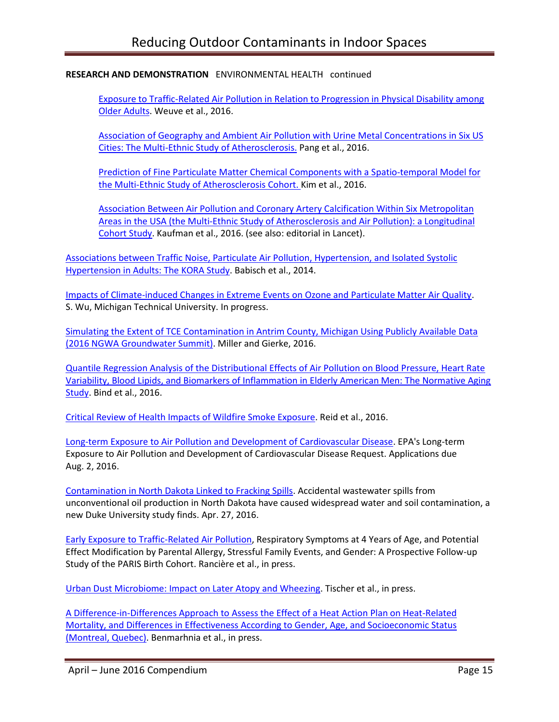[Exposure to Traffic-Related Air Pollution in Relation to Progression in Physical Disability among](http://ehp.niehs.nih.gov/15-10089/)  [Older Adults.](http://ehp.niehs.nih.gov/15-10089/) Weuve et al., 2016.

[Association of Geography and Ambient Air Pollution with Urine](http://www.ncbi.nlm.nih.gov/pmc/articles/PMC4808987/pdf/ijerph-13-00324.pdf) Metal Concentrations in Six US [Cities: The Multi-Ethnic Study of Atherosclerosis.](http://www.ncbi.nlm.nih.gov/pmc/articles/PMC4808987/pdf/ijerph-13-00324.pdf) Pang et al., 2016.

[Prediction of Fine Particulate Matter Chemical Components with a Spatio-temporal Model for](http://www.nature.com/jes/journal/vaop/ncurrent/pdf/jes201629a.pdf)  [the Multi-Ethnic Study of Atherosclerosis Cohort. K](http://www.nature.com/jes/journal/vaop/ncurrent/pdf/jes201629a.pdf)im et al., 2016.

[Association Between Air Pollution and Coronary Artery Calcification Within Six Metropolitan](http://www.thelancet.com/journals/lancet/article/PIIS0140-6736%2816%2900378-0/abstract)  [Areas in the USA \(the Multi-Ethnic Study of Atherosclerosis and Air Pollution\): a Longitudinal](http://www.thelancet.com/journals/lancet/article/PIIS0140-6736%2816%2900378-0/abstract)  [Cohort Study.](http://www.thelancet.com/journals/lancet/article/PIIS0140-6736%2816%2900378-0/abstract) Kaufman et al., 2016. (see also: editorial in Lancet).

[Associations between Traffic Noise, Particulate Air Pollution, Hypertension, and Isolated Systolic](http://www.ncbi.nlm.nih.gov/pmc/articles/PMC4014763/)  [Hypertension in Adults: The KORA Study.](http://www.ncbi.nlm.nih.gov/pmc/articles/PMC4014763/) Babisch et al., 2014.

[Impacts of Climate-induced Changes in Extreme Events on Ozone and Particulate Matter Air Quality.](http://www.mtu.edu/geo/research/current/) S. Wu, Michigan Technical University. In progress.

[Simulating the Extent of TCE Contamination in Antrim County, Michigan Using Publicly Available Data](https://ngwa.confex.com/ngwa/2016gws/webprogram/Paper10946.html)  [\(2016 NGWA Groundwater Summit\).](https://ngwa.confex.com/ngwa/2016gws/webprogram/Paper10946.html) Miller and Gierke, 2016.

[Quantile Regression Analysis of the Distributional Effects of Air Pollution on Blood Pressure, Heart Rate](http://ehp.niehs.nih.gov/15-10044/)  [Variability, Blood Lipids, and Biomarkers of Inflammation in Elderly American Men: The Normative Aging](http://ehp.niehs.nih.gov/15-10044/)  [Study.](http://ehp.niehs.nih.gov/15-10044/) Bind et al., 2016.

[Critical Review of Health Impacts of Wildfire Smoke Exposure.](http://ehp.niehs.nih.gov/wp-content/uploads/advpub/2016/4/ehp.1409277.acco.pdf) Reid et al., 2016.

[Long-term Exposure to Air Pollution and Development of Cardiovascular Disease.](https://www.epa.gov/research-grants/long-term-exposure-air-pollution-and-development-cardiovascular-disease) EPA's Long-term Exposure to Air Pollution and Development of Cardiovascular Disease Request. Applications due Aug. 2, 2016.

[Contamination in North Dakota Linked to Fracking Spills.](https://nicholas.duke.edu/about/news/ContaminationinNDLinkedtoFrackingSpills) Accidental wastewater spills from unconventional oil production in North Dakota have caused widespread water and soil contamination, a new Duke University study finds. Apr. 27, 2016.

[Early Exposure to Traffic-Related Air Pollution,](http://ehp.niehs.nih.gov/ehp239/) Respiratory Symptoms at 4 Years of Age, and Potential Effect Modification by Parental Allergy, Stressful Family Events, and Gender: A Prospective Follow-up Study of the PARIS Birth Cohort. Rancière et al., in press.

[Urban Dust Microbiome: Impact on Later Atopy and Wheezing.](http://ehp.niehs.nih.gov/ehp158/) Tischer et al., in press.

[A Difference-in-Differences Approach to Assess the Effect of a Heat Action Plan on Heat-Related](http://ehp.niehs.nih.gov/ehp203/)  [Mortality, and Differences in Effectiveness According to Gender, Age, and Socioeconomic Status](http://ehp.niehs.nih.gov/ehp203/)  [\(Montreal, Quebec\).](http://ehp.niehs.nih.gov/ehp203/) Benmarhnia et al., in press.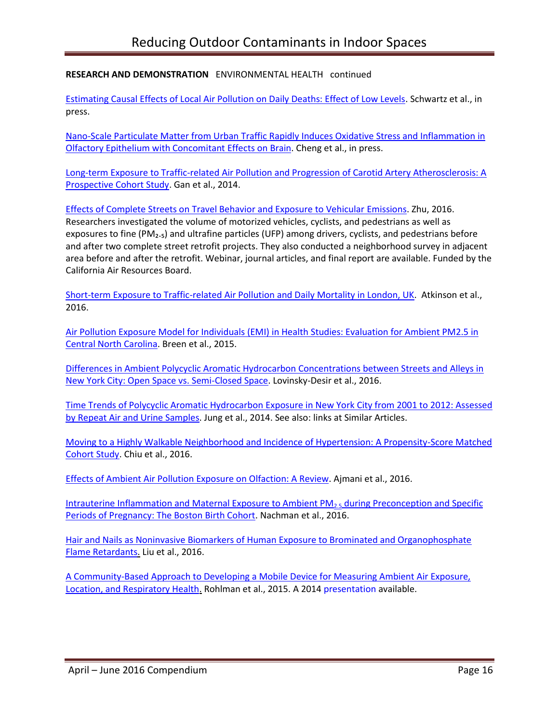[Estimating Causal Effects of Local Air Pollution on Daily Deaths: Effect of Low Levels.](http://ehp.niehs.nih.gov/ehp232/) Schwartz et al., in press.

[Nano-Scale Particulate Matter from Urban Traffic Rapidly Induces Oxidative Stress and Inflammation in](http://ehp.niehs.nih.gov/ehp134/)  [Olfactory Epithelium with Concomitant Effects on Brain.](http://ehp.niehs.nih.gov/ehp134/) Cheng et al., in press.

[Long-term Exposure to Traffic-related Air Pollution and Progression of Carotid Artery Atherosclerosis: A](http://www.ncbi.nlm.nih.gov/pmc/articles/PMC3987708/)  [Prospective Cohort Study.](http://www.ncbi.nlm.nih.gov/pmc/articles/PMC3987708/) Gan et al., 2014.

[Effects of Complete Streets on Travel Behavior and Exposure to Vehicular](http://www.arb.ca.gov/research/single-project.php?row_id=65095) Emissions. Zhu, 2016. Researchers investigated the volume of motorized vehicles, cyclists, and pedestrians as well as exposures to fine ( $PM<sub>2.5</sub>$ ) and ultrafine particles (UFP) among drivers, cyclists, and pedestrians before and after two complete street retrofit projects. They also conducted a neighborhood survey in adjacent area before and after the retrofit. Webinar, journal articles, and final report are available. Funded by the California Air Resources Board.

[Short-term Exposure to Traffic-related Air Pollution and Daily Mortality in London, UK.](http://www.nature.com/jes/journal/v26/n2/abs/jes201565a.html?WT.ec_id=JES-201603&spMailingID=50713632&spUserID=MTY2MTU2MzQwNjg3S0&spJobID=862092438&spReportId=ODYyMDkyNDM4S0) Atkinson et al., 2016.

[Air Pollution Exposure Model for Individuals \(EMI\) in Health Studies: Evaluation for Ambient PM2.5 in](http://pubs.acs.org/doi/10.1021/acs.est.5b02765)  [Central North Carolina.](http://pubs.acs.org/doi/10.1021/acs.est.5b02765) Breen et al., 2015.

[Differences in Ambient Polycyclic Aromatic Hydrocarbon Concentrations between Streets and Alleys in](http://www.ncbi.nlm.nih.gov/pmc/articles/PMC4730518/)  [New York City: Open Space vs. Semi-Closed Space.](http://www.ncbi.nlm.nih.gov/pmc/articles/PMC4730518/) Lovinsky-Desir et al., 2016.

[Time Trends of Polycyclic Aromatic Hydrocarbon Exposure in New York City from 2001 to 2012: Assessed](http://www.ncbi.nlm.nih.gov/pubmed/24709094)  [by Repeat Air and Urine Samples.](http://www.ncbi.nlm.nih.gov/pubmed/24709094) Jung et al., 2014. See also: links at Similar Articles.

[Moving to a Highly Walkable Neighborhood and Incidence of Hypertension: A Propensity-Score Matched](http://ehp.niehs.nih.gov/15-10425/)  [Cohort Study.](http://ehp.niehs.nih.gov/15-10425/) Chiu et al., 2016.

[Effects of Ambient Air Pollution Exposure on](http://ehp.niehs.nih.gov/ehp136/) Olfaction: A Review. Ajmani et al., 2016.

Intrauterine Inflammation and Maternal Exposure to Ambient  $PM<sub>2.5</sub>$  during Preconception and Specific [Periods of Pregnancy: The Boston Birth Cohort.](http://ehp.niehs.nih.gov/EHP243/) Nachman et al., 2016.

[Hair and Nails as Noninvasive Biomarkers of Human Exposure to Brominated and Organophosphate](http://pubs.acs.org/doi/abs/10.1021/acs.est.5b05073)  [Flame Retardants.](http://pubs.acs.org/doi/abs/10.1021/acs.est.5b05073) Liu et al., 2016.

[A Community-Based Approach to Developing a Mobile Device for Measuring Ambient Air Exposure,](http://www.osti.gov/pages/biblio/1213217-community-based-approach-developing-mobile-device-measuring-ambient-air-exposure-location-respiratory-health) [Location, and Respiratory Health.](http://www.osti.gov/pages/biblio/1213217-community-based-approach-developing-mobile-device-measuring-ambient-air-exposure-location-respiratory-health) Rohlman et al., 2015. A 201[4 presentation](http://www.osti.gov/pages/biblio/1213217-community-based-approach-developing-mobile-device-measuring-ambient-air-exposure-location-respiratory-health) available.